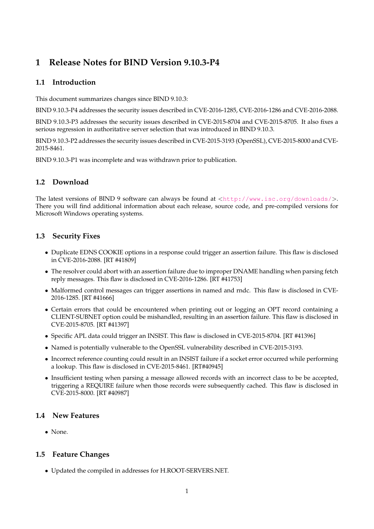# **1 Release Notes for BIND Version 9.10.3-P4**

## **1.1 Introduction**

This document summarizes changes since BIND 9.10.3:

BIND 9.10.3-P4 addresses the security issues described in CVE-2016-1285, CVE-2016-1286 and CVE-2016-2088.

BIND 9.10.3-P3 addresses the security issues described in CVE-2015-8704 and CVE-2015-8705. It also fixes a serious regression in authoritative server selection that was introduced in BIND 9.10.3.

BIND 9.10.3-P2 addresses the security issues described in CVE-2015-3193 (OpenSSL), CVE-2015-8000 and CVE-2015-8461.

BIND 9.10.3-P1 was incomplete and was withdrawn prior to publication.

# **1.2 Download**

The latest versions of BIND 9 software can always be found at  $\langle \text{http://www.isc.org/downloads/}>$  $\langle \text{http://www.isc.org/downloads/}>$  $\langle \text{http://www.isc.org/downloads/}>$ . There you will find additional information about each release, source code, and pre-compiled versions for Microsoft Windows operating systems.

# **1.3 Security Fixes**

- Duplicate EDNS COOKIE options in a response could trigger an assertion failure. This flaw is disclosed in CVE-2016-2088. [RT #41809]
- The resolver could abort with an assertion failure due to improper DNAME handling when parsing fetch reply messages. This flaw is disclosed in CVE-2016-1286. [RT #41753]
- Malformed control messages can trigger assertions in named and rndc. This flaw is disclosed in CVE-2016-1285. [RT #41666]
- Certain errors that could be encountered when printing out or logging an OPT record containing a CLIENT-SUBNET option could be mishandled, resulting in an assertion failure. This flaw is disclosed in CVE-2015-8705. [RT #41397]
- Specific APL data could trigger an INSIST. This flaw is disclosed in CVE-2015-8704. [RT #41396]
- Named is potentially vulnerable to the OpenSSL vulnerability described in CVE-2015-3193.
- Incorrect reference counting could result in an INSIST failure if a socket error occurred while performing a lookup. This flaw is disclosed in CVE-2015-8461. [RT#40945]
- Insufficient testing when parsing a message allowed records with an incorrect class to be be accepted, triggering a REQUIRE failure when those records were subsequently cached. This flaw is disclosed in CVE-2015-8000. [RT #40987]

#### **1.4 New Features**

• None.

#### **1.5 Feature Changes**

• Updated the compiled in addresses for H.ROOT-SERVERS.NET.